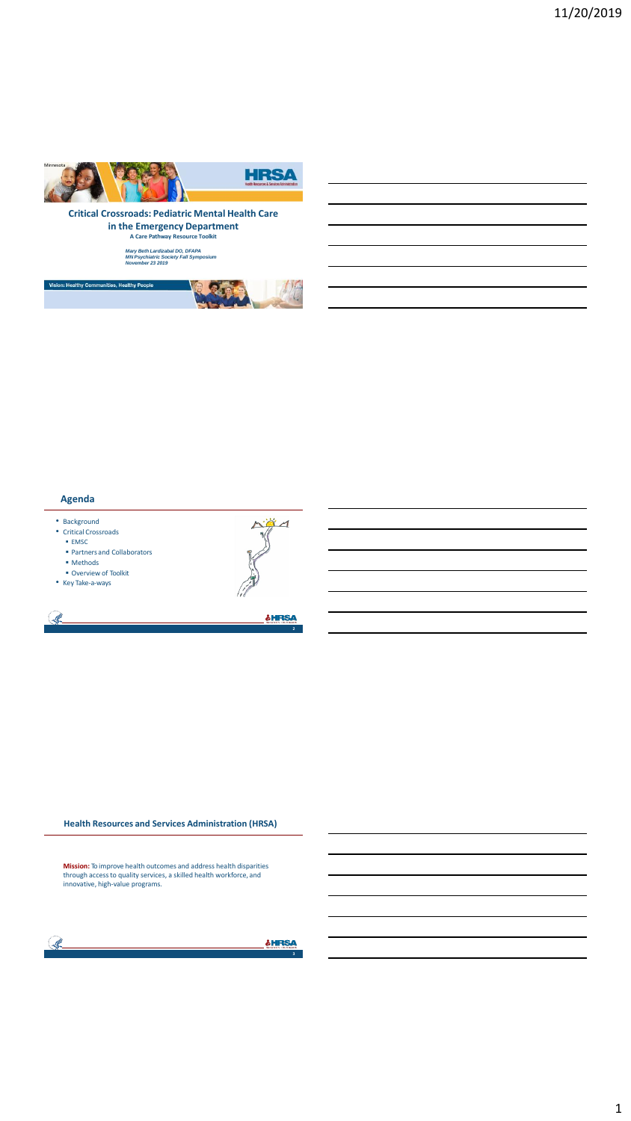







#### **Agenda**

• Background

- Critical Crossroads  $\blacksquare$  EMSC
- Partners and Collaborators
- Methods
- Overview of Toolkit
- Key Take-a-ways

S.



**2**

**SHRSA** 

**Health Resources and Services Administration (HRSA)**

**Mission:** To improve health outcomes and address health disparities<br>through access to quality services, a skilled health workforce, and<br>innovative, high-value programs.



**SHRSA**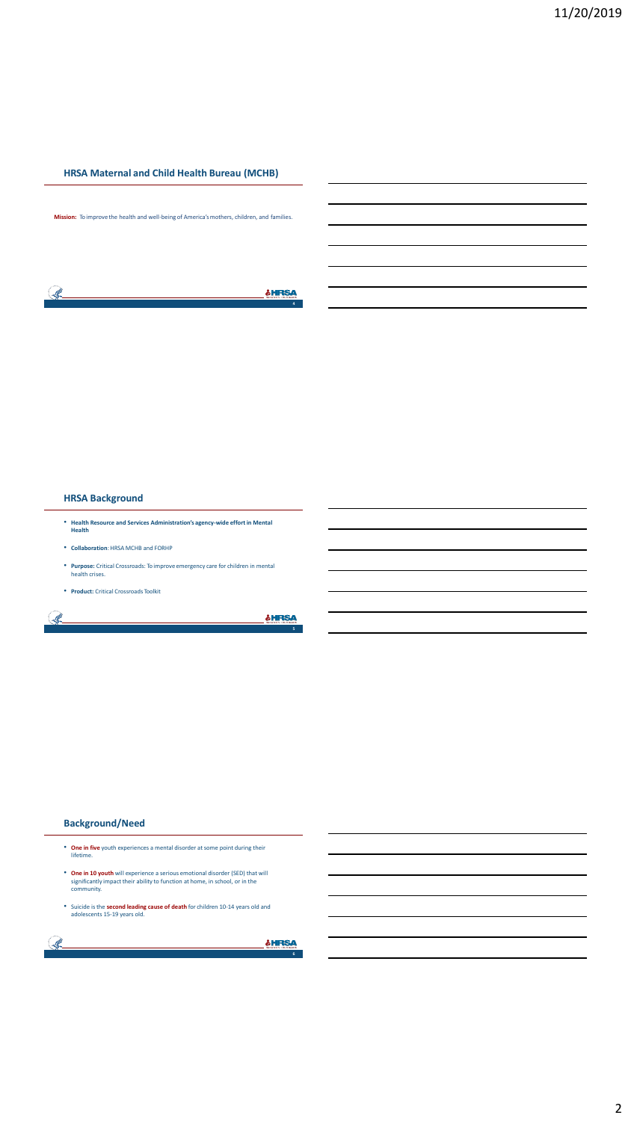#### **HRSA Maternal and Child Health Bureau (MCHB)**

**Mission:** To improve the health and well-being of America's mothers, children, and families.

| Meternal A<br><b><i><u>Property</u></i></b> |
|---------------------------------------------|
|                                             |

# **HRSA Background**

- **Health Resource and Services Administration's agency-wide effort in Mental Health**
- **Collaboration**: HRSA MCHB and FORHP
- **Purpose:** Critical Crossroads: To improve emergency care for children in mental health crises.
- **Product:** Critical Crossroads Toolkit

S.

#### **SHRSA**

**5**

#### **Background/Need**

- **One in five** youth experiences a mental disorder at some point during their lifetime.
- **One in 10 youth** will experience a serious emotional disorder (SED) that will significantly impact their ability to function at home, in school, or in the community.
- Suicide is the **second leading cause of death** for children 10-14 years old and adolescents 15-19 years old.

| <b>STAR</b><br>. | Maternal A.C. Blid Health |
|------------------|---------------------------|
|                  |                           |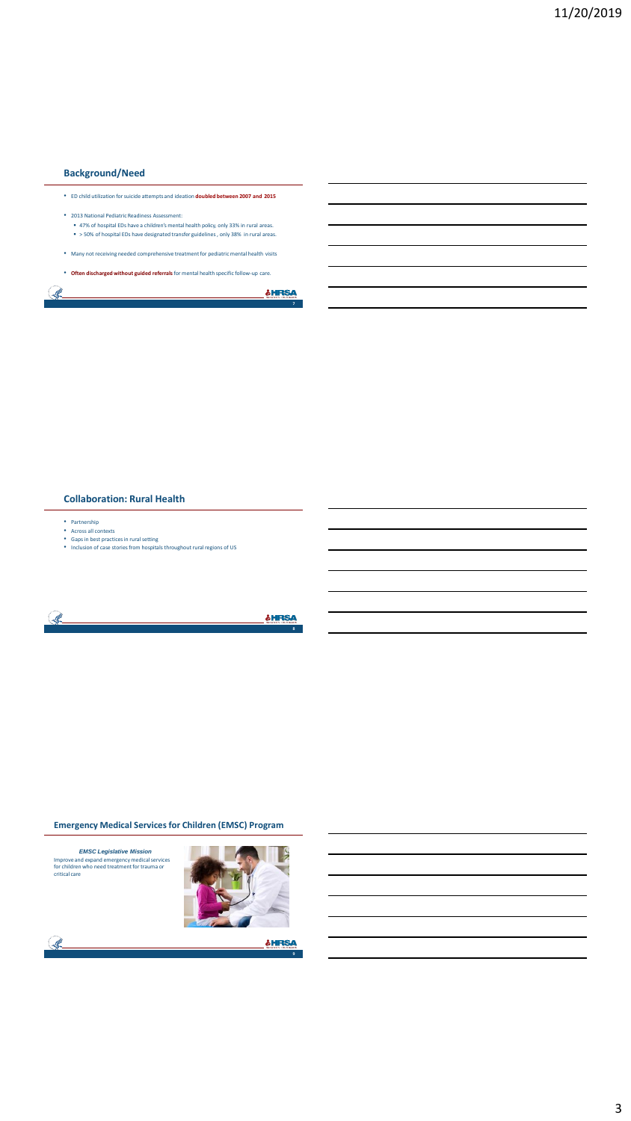# **Background/Need**

Ŝ.

- ED child utilization for suicide attempts and ideation **doubled between 2007 and 2015** • 2013 National Pediatric Readiness Assessment:
- 47% of hospital EDs have a children's mental health policy, only 33% in rural areas. > 50% of hospital EDs have designated transfer guidelines , only 38% in rural areas.
- Many not receiving needed comprehensive treatment for pediatric mental health visits
- **Often discharged without guided referrals** for mental health specific follow-up care.

**&HRSA** 

**7**

#### **Collaboration: Rural Health**

- 
- 
- Partnership<br>• Across all contexts<br>• Gaps in best practices in rural setting<br>• Inclusion of case stories from hospitals throughout rural regions of US



#### **Emergency Medical Services for Children (EMSC) Program**



 $\mathcal{R}$ 



**9**

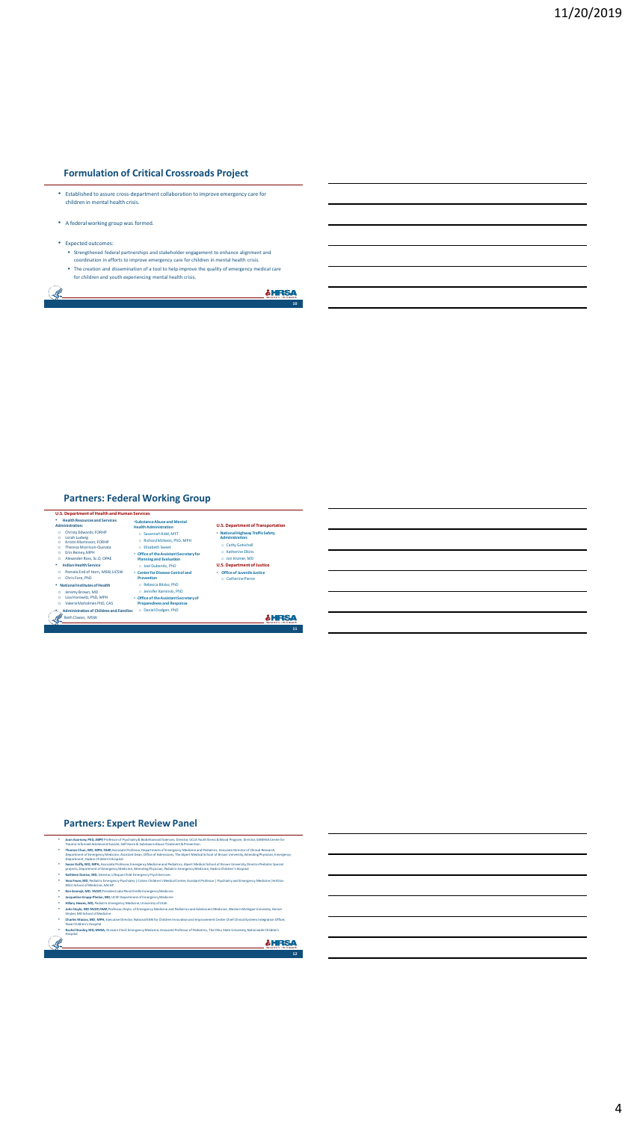#### **Formulation of Critical Crossroads Project**

- Established to assure cross-department collaboration to improve emergency care for children in mental health crisis.
- A federal working group was formed.
- Expected outcomes

 $\begin{picture}(22,20) \put(0,0){\vector(1,0){10}} \put(15,0){\vector(1,0){10}} \put(15,0){\vector(1,0){10}} \put(15,0){\vector(1,0){10}} \put(15,0){\vector(1,0){10}} \put(15,0){\vector(1,0){10}} \put(15,0){\vector(1,0){10}} \put(15,0){\vector(1,0){10}} \put(15,0){\vector(1,0){10}} \put(15,0){\vector(1,0){10}} \put(15,0){\vector(1,0){10}} \put(15,0){\vector(1$ 

- Strengthened federal partnerships and stakeholder engagement to enhance alignment and<br>coordination in efforts to improve emergency care for children in mental health crisis.<br>The creation and dissemination of a tool to help
- 

**&HRSA 10**

# **Partners: Federal Working Group**



#### **Partners: Expert Review Panel**

- Daan Asarnow, PhD, ABPP, Professor of Psychiatry & Biobehavioral Sciences, Director, UCLA Youth Stress & Mood Program, Director, SAMHSA Center for<br>Trauma-Informed Adolescent Suicide, Self-Harm & Substance Abuse Treatment & • **Thomas Chun, MD, MPH, FAAP,** Associate Professor, Departments of Emergency Medicine and Pediatrics, Associate Director of Clinical Research, Department of Emergency<br>e Professor, Departments of Emergency<br>sistant Dean, Office of Admissions, The A
- Department, Hasbro Children's Hospital Susan Duffy, MD, MPH, Associate Professor, Emergency Medicine and Pediatrics, Alpert Medical School of Brown University, Director Pediatric Special<br>projects, Department of Emergency Medicine, Attending Physician, Pediatric
- 
- 
- 
- 
- "Mathea Doanies, MB, Director, Literaan Child Emergency Pychisterics<br>
"We Feuer, MB, Profiler (Energency Pychister) [Coher Childrer's Medical Center, Assistant Professor | Psychiatry and Emergency Medicine | Nofstra-<br>
NGLI
- Ř **&HRSA 12**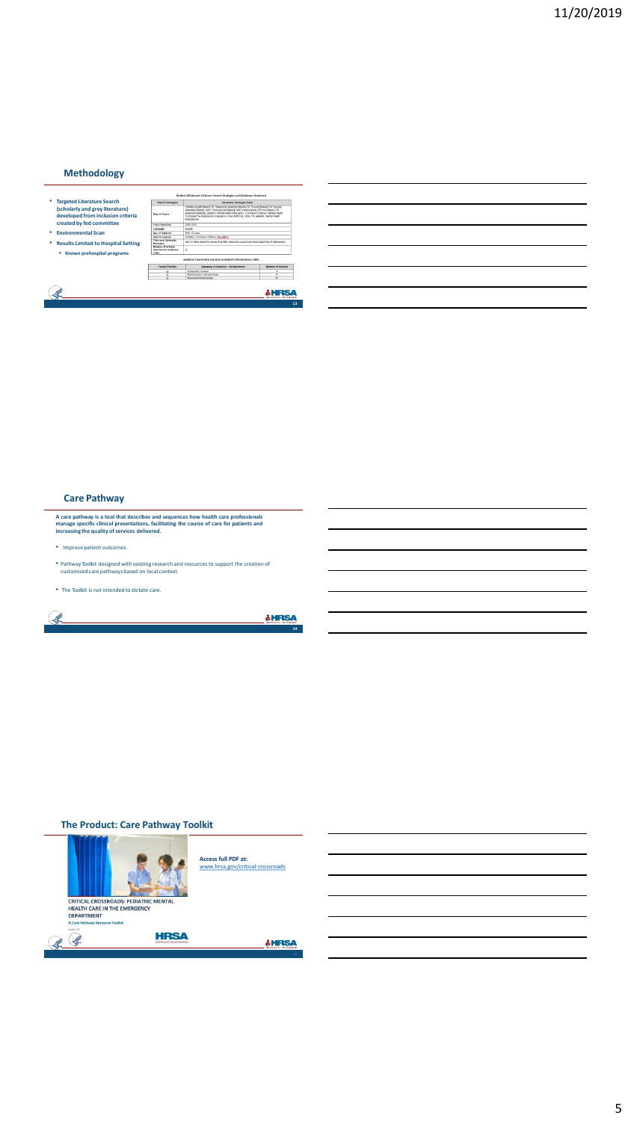# **Methodology**



#### **Care Pathway**

A care pathway is a tool that describes and sequences how health care professionals<br>manage specific clinical presentations, facilitating the course of care for patients and<br>increasing the quality of services delivered.

• Improve patient outcomes.

S.

- Pathway Toolkit designed with existing research and resources to support the creation of customized care pathways based on local context.
- The Toolkit is not intended to dictate care.

**SHRSA** 

#### **The Product: Care Pathway Toolkit**

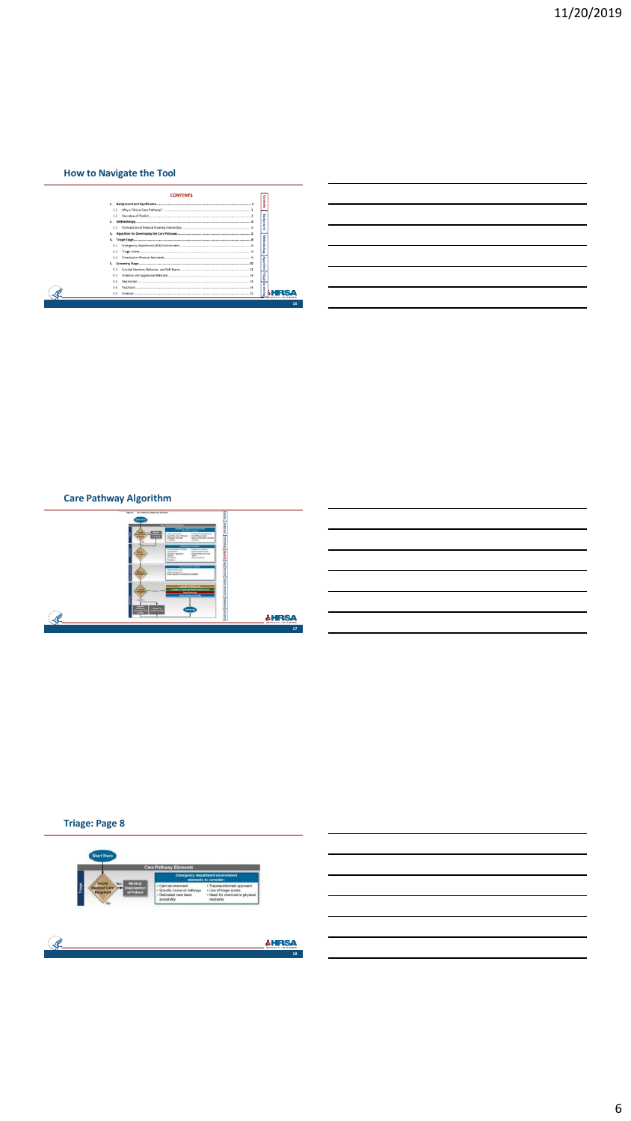# **How to Navigate the Tool**

|     | <b>CONTENTS</b>                           |                 |    |
|-----|-------------------------------------------|-----------------|----|
|     |                                           | <b>Gont</b>     |    |
|     |                                           |                 |    |
| 1.2 |                                           |                 |    |
|     |                                           |                 |    |
| 2.1 | Formulation of Federal Steering Committee | ã               |    |
|     |                                           |                 |    |
|     |                                           |                 |    |
| 4.1 |                                           | ethodology      |    |
| 4.2 |                                           |                 |    |
| 43  |                                           |                 |    |
|     |                                           | <b>Agorithm</b> |    |
| 5.1 |                                           |                 |    |
| 5.2 |                                           |                 |    |
| 5.3 |                                           |                 |    |
| 5.4 |                                           |                 |    |
| 5.5 |                                           |                 |    |
|     |                                           |                 |    |
|     |                                           |                 | 16 |

# **Care Pathway Algorithm**



# **Triage: Page 8**



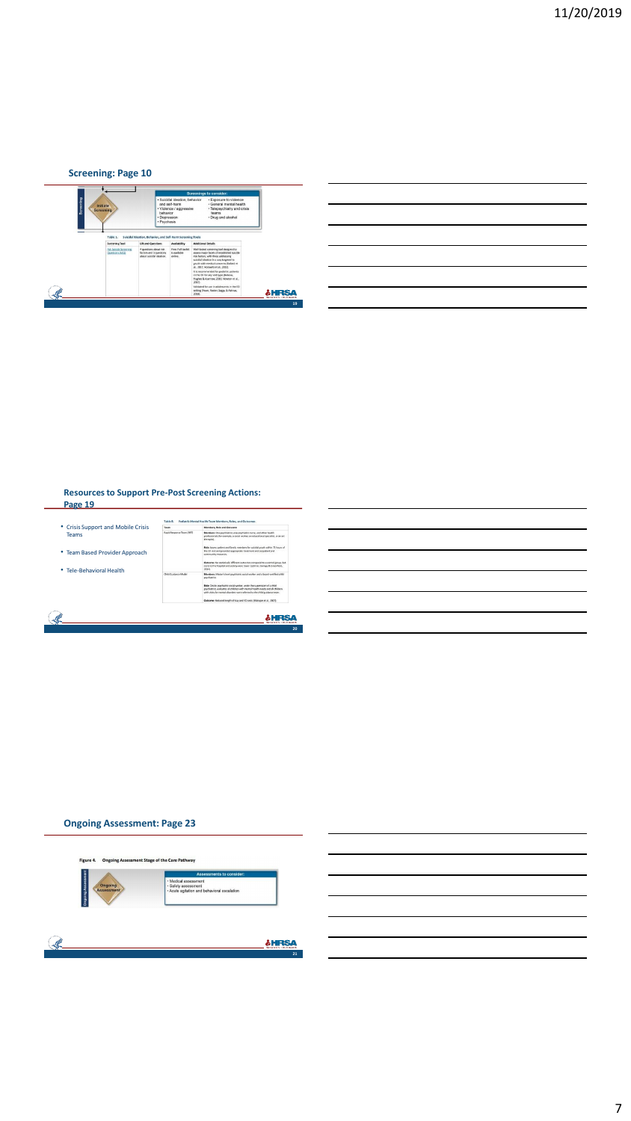# **Screening: Page 10**



| <u> 1989 - Andrea Andrew Maria (h. 1989).</u>                                                                         |  |  |
|-----------------------------------------------------------------------------------------------------------------------|--|--|
| <u> 1989 - Johann Stoff, amerikansk politiker (d. 1989)</u>                                                           |  |  |
|                                                                                                                       |  |  |
| <u> 1989 - Andrea Andrew Maria (h. 1989).</u>                                                                         |  |  |
| <u> 1989 - Johann Stoff, deutscher Stoff, der Stoff, der Stoff, der Stoff, der Stoff, der Stoff, der Stoff, der S</u> |  |  |
|                                                                                                                       |  |  |

# **Resources to Support Pre-Post Screening Actions: Page 19**



# **Ongoing Assessment: Page 23**



7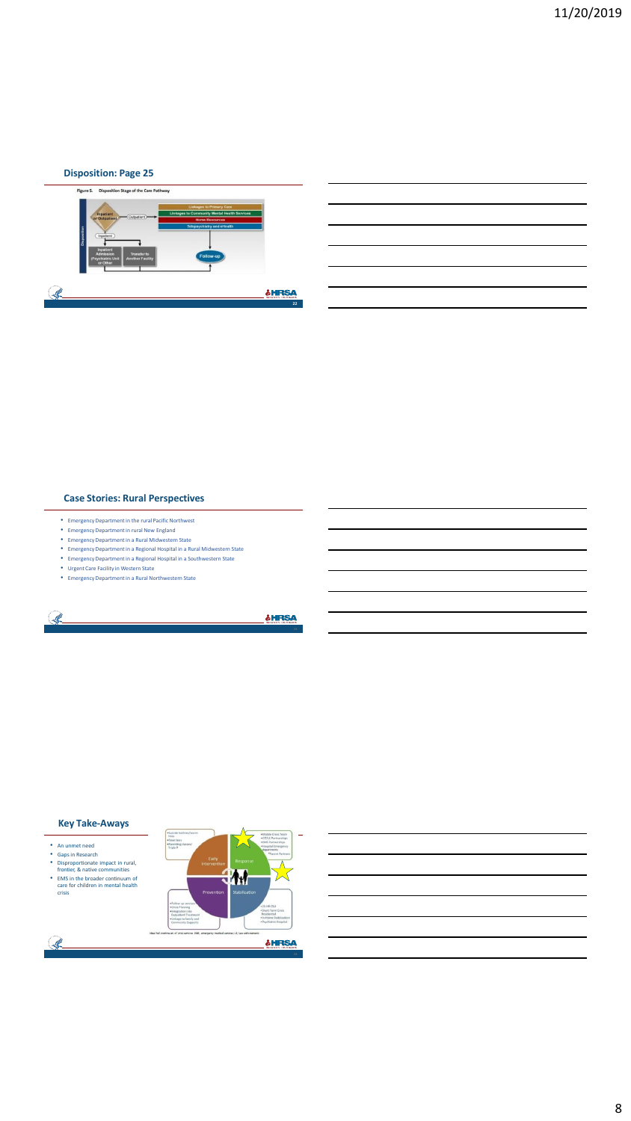#### **Disposition: Page 25**



#### **Case Stories: Rural Perspectives**

- Emergency Department in the rural Pacific Northwest
- Emergency Department in rural New England
- Emergency Department in a Rural Midwestern State
- Emergency Department in a Regional Hospital in a Rural Midwestern State • Emergency Department in a Regional Hospital in a Southwestern State
- Urgent Care Facility in Western State
- Emergency Department in a Rural Northwestern State

#### S. **SHRSA**

#### **Key Take-Aways**

- 
- An unmet need

Ŀ.

- 
- 
- Gaps in Research Disproportionate impact in rural, frontier, & native communities EMS in the broader continuum of care for children in mental health crisis